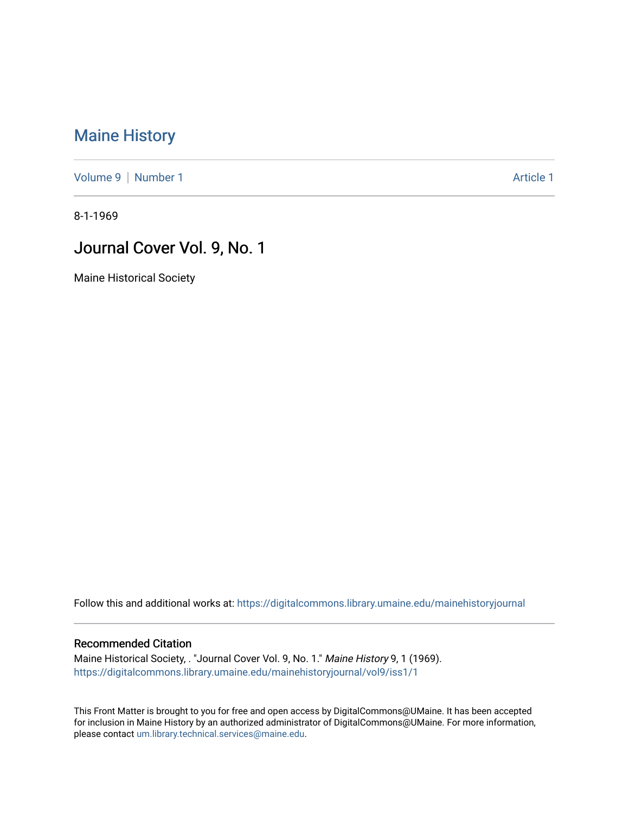## [Maine History](https://digitalcommons.library.umaine.edu/mainehistoryjournal)

[Volume 9](https://digitalcommons.library.umaine.edu/mainehistoryjournal/vol9) | [Number 1](https://digitalcommons.library.umaine.edu/mainehistoryjournal/vol9/iss1) Article 1

8-1-1969

## Journal Cover Vol. 9, No. 1

Maine Historical Society

Follow this and additional works at: [https://digitalcommons.library.umaine.edu/mainehistoryjournal](https://digitalcommons.library.umaine.edu/mainehistoryjournal?utm_source=digitalcommons.library.umaine.edu%2Fmainehistoryjournal%2Fvol9%2Fiss1%2F1&utm_medium=PDF&utm_campaign=PDFCoverPages) 

## Recommended Citation

Maine Historical Society, . "Journal Cover Vol. 9, No. 1." Maine History 9, 1 (1969). [https://digitalcommons.library.umaine.edu/mainehistoryjournal/vol9/iss1/1](https://digitalcommons.library.umaine.edu/mainehistoryjournal/vol9/iss1/1?utm_source=digitalcommons.library.umaine.edu%2Fmainehistoryjournal%2Fvol9%2Fiss1%2F1&utm_medium=PDF&utm_campaign=PDFCoverPages)

This Front Matter is brought to you for free and open access by DigitalCommons@UMaine. It has been accepted for inclusion in Maine History by an authorized administrator of DigitalCommons@UMaine. For more information, please contact [um.library.technical.services@maine.edu.](mailto:um.library.technical.services@maine.edu)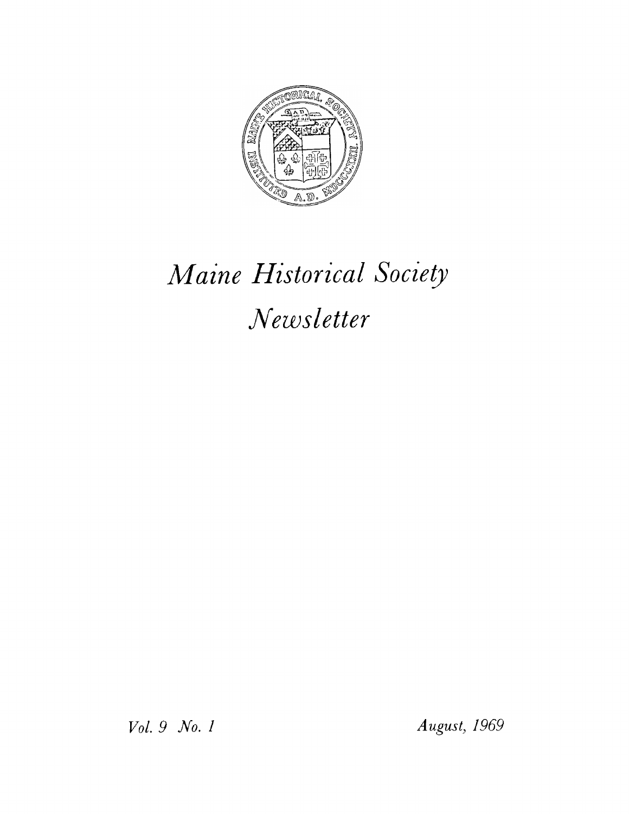

## *Maine Historical Society Newsletter*

*Vol. 9 No. 1 August, 1969*